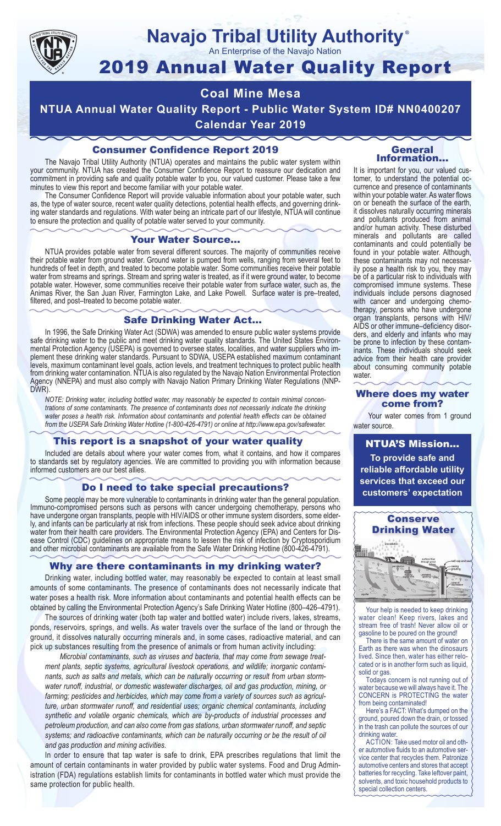

#### **Navajo Tribal Utility Authority** ®

An Enterprise of the Navajo Nation

# 2019 Annual Water Quality Report

## **Coal Mine Mesa**

**NTUA Annual Water Quality Report - Public Water System ID# NN0400207 Calendar Year 2019**

### Consumer Confidence Report 2019

The Navajo Tribal Utility Authority (NTUA) operates and maintains the public water system within your community. NTUA has created the Consumer Confidence Report to reassure our dedication and commitment in providing safe and quality potable water to you, our valued customer. Please take a few minutes to view this report and become familiar with your potable water.

The Consumer Confidence Report will provide valuable information about your potable water, such as, the type of water source, recent water quality detections, potential health effects, and governing drinking water standards and regulations. With water being an intricate part of our lifestyle, NTUA will continue to ensure the protection and quality of potable water served to your community.

#### Your Water Source…

NTUA provides potable water from several different sources. The majority of communities receive their potable water from ground water. Ground water is pumped from wells, ranging from several feet to hundreds of feet in depth, and treated to become potable water. Some communities receive their potable water from streams and springs. Stream and spring water is treated, as if it were ground water, to become potable water. However, some communities receive their potable water from surface water, such as, the Animas River, the San Juan River, Farmington Lake, and Lake Powell. Surface water is pre–treated, filtered, and post–treated to become potable water.

#### Safe Drinking Water Act…

In 1996, the Safe Drinking Water Act (SDWA) was amended to ensure public water systems provide safe drinking water to the public and meet drinking water quality standards. The United States Environmental Protection Agency (USEPA) is governed to oversee states, localities, and water suppliers who implement these drinking water standards. Pursuant to SDWA, USEPA established maximum contaminant levels, maximum contaminant level goals, action levels, and treatment techniques to protect public health from drinking water contamination. NTUA is also regulated by the Navajo Nation Environmental Protection Agency (NNEPA) and must also comply with Navajo Nation Primary Drinking Water Regulations (NNP-DWR)

*NOTE: Drinking water, including bottled water, may reasonably be expected to contain minimal concentrations of some contaminants. The presence of contaminants does not necessarily indicate the drinking water poses a health risk. Information about contaminants and potential health effects can be obtained from the USEPA Safe Drinking Water Hotline (1-800-426-4791) or online at http://www.epa.gov/safewater.*

#### This report is a snapshot of your water quality

Included are details about where your water comes from, what it contains, and how it compares to standards set by regulatory agencies. We are committed to providing you with information because informed customers are our best allies.

#### Do I need to take special precautions?

Some people may be more vulnerable to contaminants in drinking water than the general population. Immuno-compromised persons such as persons with cancer undergoing chemotherapy, persons who have undergone organ transplants, people with HIV/AIDS or other immune system disorders, some elderly, and infants can be particularly at risk from infections. These people should seek advice about drinking water from their health care providers. The Environmental Protection Agency (EPA) and Centers for Disease Control (CDC) guidelines on appropriate means to lessen the risk of infection by Cryptosporidium and other microbial contaminants are available from the Safe Water Drinking Hotline (800-426-4791).

#### Why are there contaminants in my drinking water?

Drinking water, including bottled water, may reasonably be expected to contain at least small amounts of some contaminants. The presence of contaminants does not necessarily indicate that water poses a health risk. More information about contaminants and potential health effects can be obtained by calling the Environmental Protection Agency's Safe Drinking Water Hotline (800–426–4791).

The sources of drinking water (both tap water and bottled water) include rivers, lakes, streams, ponds, reservoirs, springs, and wells. As water travels over the surface of the land or through the ground, it dissolves naturally occurring minerals and, in some cases, radioactive material, and can pick up substances resulting from the presence of animals or from human activity including:

*Microbial contaminants, such as viruses and bacteria, that may come from sewage treatment plants, septic systems, agricultural livestock operations, and wildlife; inorganic contaminants, such as salts and metals, which can be naturally occurring or result from urban stormwater runoff, industrial, or domestic wastewater discharges, oil and gas production, mining, or farming; pesticides and herbicides, which may come from a variety of sources such as agriculture, urban stormwater runoff, and residential uses; organic chemical contaminants, including synthetic and volatile organic chemicals, which are by-products of industrial processes and petroleum production, and can also come from gas stations, urban stormwater runoff, and septic systems; and radioactive contaminants, which can be naturally occurring or be the result of oil and gas production and mining activities.*

In order to ensure that tap water is safe to drink, EPA prescribes regulations that limit the amount of certain contaminants in water provided by public water systems. Food and Drug Administration (FDA) regulations establish limits for contaminants in bottled water which must provide the same protection for public health.

#### General Information…

It is important for you, our valued customer, to understand the potential occurrence and presence of contaminants within your potable water. As water flows on or beneath the surface of the earth, it dissolves naturally occurring minerals and pollutants produced from animal and/or human activity. These disturbed minerals and pollutants are called contaminants and could potentially be found in your potable water. Although, these contaminants may not necessarily pose a health risk to you, they may be of a particular risk to individuals with compromised immune systems. These individuals include persons diagnosed with cancer and undergoing chemo-<br>therapy, persons who have undergone organ transplants, persons with HIV/ AIDS or other immune–deficiency disor- ders, and elderly and infants who may be prone to infection by these contam- inants. These individuals should seek advice from their health care provider about consuming community potable water.

#### Where does my water come from?

Your water comes from 1 ground water source.

NTUA'S Mission... **To provide safe and reliable affordable utility services that exceed our customers' expectation**



Your help is needed to keep drinking water clean! Keep rivers, lakes and stream free of trash! Never allow oil or gasoline to be poured on the ground!

There is the same amount of water on Earth as there was when the dinosaurs lived. Since then, water has either relocated or is in another form such as liquid, solid or gas.

Todays concern is not running out of water because we will always have it. The CONCERN is PROTECTING the water from being contaminated!

Here's a FACT: What's dumped on the ground, poured down the drain, or tossed in the trash can pollute the sources of our drinking water.

ACTION: Take used motor oil and other automotive fluids to an automotive service center that recycles them. Patronize automotive centers and stores that accept batteries for recycling. Take leftover paint, solvents, and toxic household products to special collection centers.